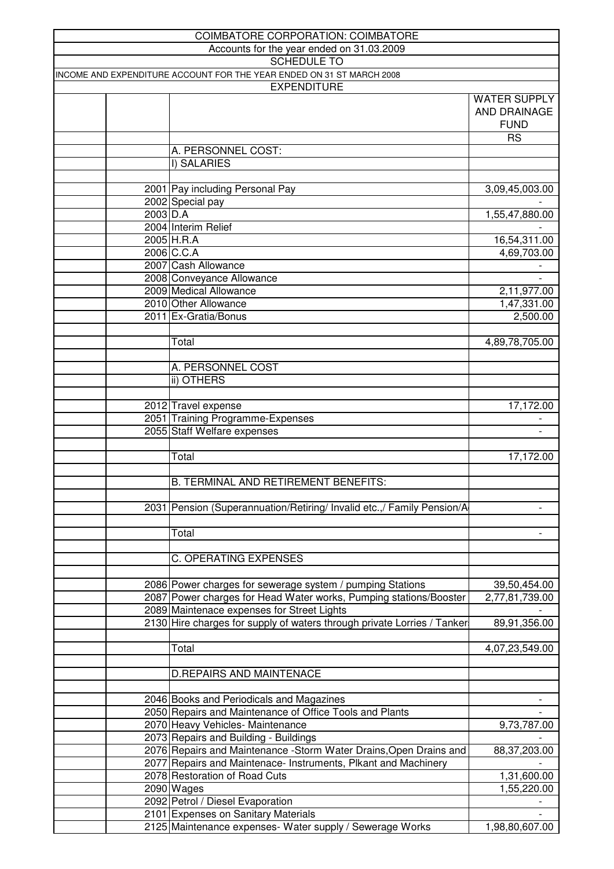| <b>COIMBATORE CORPORATION: COIMBATORE</b>                               |                     |  |  |
|-------------------------------------------------------------------------|---------------------|--|--|
| Accounts for the year ended on 31.03.2009                               |                     |  |  |
| <b>SCHEDULE TO</b>                                                      |                     |  |  |
| INCOME AND EXPENDITURE ACCOUNT FOR THE YEAR ENDED ON 31 ST MARCH 2008   |                     |  |  |
| <b>EXPENDITURE</b>                                                      |                     |  |  |
|                                                                         | <b>WATER SUPPLY</b> |  |  |
|                                                                         | AND DRAINAGE        |  |  |
|                                                                         | <b>FUND</b>         |  |  |
|                                                                         | <b>RS</b>           |  |  |
| A. PERSONNEL COST:                                                      |                     |  |  |
| I) SALARIES                                                             |                     |  |  |
|                                                                         |                     |  |  |
| 2001 Pay including Personal Pay                                         | 3,09,45,003.00      |  |  |
| 2002 Special pay                                                        |                     |  |  |
| 2003 D.A                                                                | 1,55,47,880.00      |  |  |
| 2004 Interim Relief                                                     |                     |  |  |
| 2005 H.R.A                                                              | 16,54,311.00        |  |  |
| 2006 C.C.A                                                              | 4,69,703.00         |  |  |
| 2007 Cash Allowance                                                     |                     |  |  |
| 2008 Conveyance Allowance                                               |                     |  |  |
| 2009 Medical Allowance                                                  | 2,11,977.00         |  |  |
| 2010 Other Allowance                                                    | 1,47,331.00         |  |  |
| 2011 Ex-Gratia/Bonus                                                    | 2,500.00            |  |  |
|                                                                         |                     |  |  |
| Total                                                                   | 4,89,78,705.00      |  |  |
|                                                                         |                     |  |  |
| A. PERSONNEL COST                                                       |                     |  |  |
| ii) OTHERS                                                              |                     |  |  |
|                                                                         |                     |  |  |
| 2012 Travel expense                                                     | 17,172.00           |  |  |
| 2051 Training Programme-Expenses                                        |                     |  |  |
| 2055 Staff Welfare expenses                                             |                     |  |  |
|                                                                         |                     |  |  |
| Total                                                                   | 17,172.00           |  |  |
|                                                                         |                     |  |  |
| B. TERMINAL AND RETIREMENT BENEFITS:                                    |                     |  |  |
|                                                                         |                     |  |  |
| 2031 Pension (Superannuation/Retiring/ Invalid etc.,/ Family Pension/A  |                     |  |  |
|                                                                         |                     |  |  |
| Total                                                                   |                     |  |  |
|                                                                         |                     |  |  |
| C. OPERATING EXPENSES                                                   |                     |  |  |
|                                                                         |                     |  |  |
| 2086 Power charges for sewerage system / pumping Stations               | 39,50,454.00        |  |  |
| 2087 Power charges for Head Water works, Pumping stations/Booster       | 2,77,81,739.00      |  |  |
| 2089 Maintenace expenses for Street Lights                              |                     |  |  |
| 2130 Hire charges for supply of waters through private Lorries / Tanker | 89,91,356.00        |  |  |
|                                                                         |                     |  |  |
| Total                                                                   | 4,07,23,549.00      |  |  |
|                                                                         |                     |  |  |
| <b>D.REPAIRS AND MAINTENACE</b>                                         |                     |  |  |
|                                                                         |                     |  |  |
| 2046 Books and Periodicals and Magazines                                |                     |  |  |
| 2050 Repairs and Maintenance of Office Tools and Plants                 |                     |  |  |
| 2070 Heavy Vehicles- Maintenance                                        | 9,73,787.00         |  |  |
| 2073 Repairs and Building - Buildings                                   |                     |  |  |
| 2076 Repairs and Maintenance -Storm Water Drains, Open Drains and       | 88,37,203.00        |  |  |
| 2077 Repairs and Maintenace- Instruments, Plkant and Machinery          |                     |  |  |
| 2078 Restoration of Road Cuts                                           | 1,31,600.00         |  |  |
|                                                                         | 1,55,220.00         |  |  |
| 2090 Wages                                                              |                     |  |  |
| 2092 Petrol / Diesel Evaporation<br>2101 Expenses on Sanitary Materials |                     |  |  |
|                                                                         |                     |  |  |
| 2125 Maintenance expenses- Water supply / Sewerage Works                | 1,98,80,607.00      |  |  |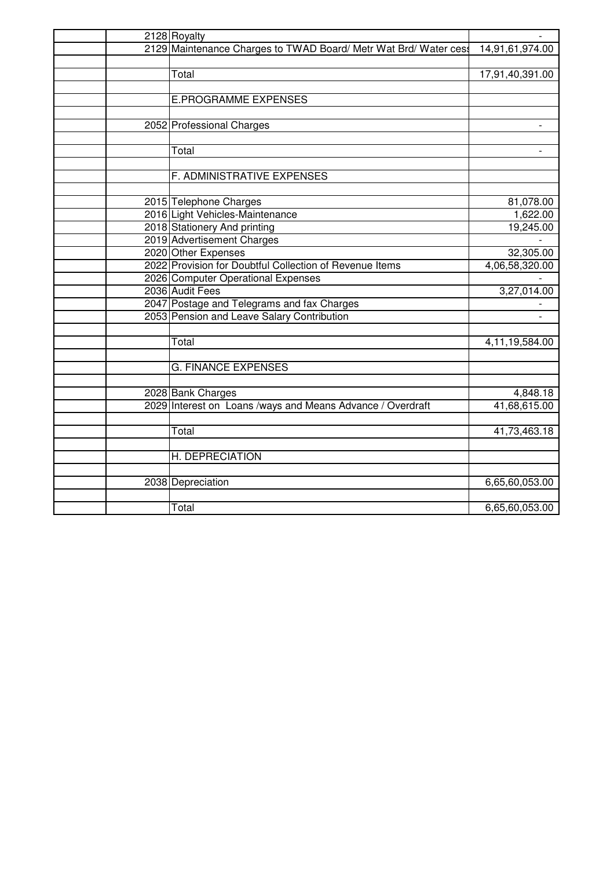| 2128 Royalty      |                                                                  |                 |
|-------------------|------------------------------------------------------------------|-----------------|
|                   | 2129 Maintenance Charges to TWAD Board/ Metr Wat Brd/ Water cest | 14,91,61,974.00 |
|                   |                                                                  |                 |
| Total             |                                                                  | 17,91,40,391.00 |
|                   |                                                                  |                 |
|                   | E.PROGRAMME EXPENSES                                             |                 |
|                   |                                                                  |                 |
|                   | 2052 Professional Charges                                        |                 |
|                   |                                                                  |                 |
| Total             |                                                                  |                 |
|                   |                                                                  |                 |
|                   | F. ADMINISTRATIVE EXPENSES                                       |                 |
|                   |                                                                  |                 |
|                   | 2015 Telephone Charges                                           | 81,078.00       |
|                   | 2016 Light Vehicles-Maintenance                                  | 1,622.00        |
|                   | 2018 Stationery And printing                                     | 19,245.00       |
|                   | 2019 Advertisement Charges                                       |                 |
|                   | 2020 Other Expenses                                              | 32,305.00       |
|                   | 2022 Provision for Doubtful Collection of Revenue Items          | 4,06,58,320.00  |
|                   | 2026 Computer Operational Expenses                               |                 |
| 2036 Audit Fees   |                                                                  | 3,27,014.00     |
|                   | 2047 Postage and Telegrams and fax Charges                       |                 |
|                   | 2053 Pension and Leave Salary Contribution                       |                 |
|                   |                                                                  |                 |
| Total             |                                                                  | 4,11,19,584.00  |
|                   |                                                                  |                 |
|                   | <b>G. FINANCE EXPENSES</b>                                       |                 |
|                   |                                                                  |                 |
|                   | 2028 Bank Charges                                                | 4,848.18        |
|                   | 2029 Interest on Loans /ways and Means Advance / Overdraft       | 41,68,615.00    |
|                   |                                                                  |                 |
| Total             |                                                                  | 41,73,463.18    |
|                   |                                                                  |                 |
|                   | H. DEPRECIATION                                                  |                 |
|                   |                                                                  |                 |
| 2038 Depreciation |                                                                  | 6,65,60,053.00  |
|                   |                                                                  |                 |
| Total             |                                                                  | 6,65,60,053.00  |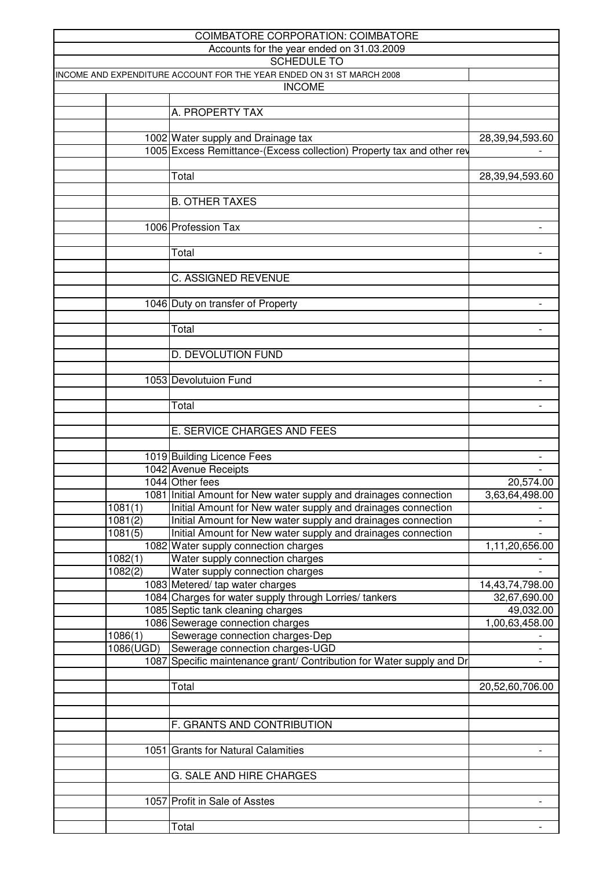| COIMBATORE CORPORATION: COIMBATORE        |               |                                                                       |                 |  |  |
|-------------------------------------------|---------------|-----------------------------------------------------------------------|-----------------|--|--|
| Accounts for the year ended on 31.03.2009 |               |                                                                       |                 |  |  |
| <b>SCHEDULE TO</b>                        |               |                                                                       |                 |  |  |
|                                           |               | INCOME AND EXPENDITURE ACCOUNT FOR THE YEAR ENDED ON 31 ST MARCH 2008 |                 |  |  |
|                                           | <b>INCOME</b> |                                                                       |                 |  |  |
|                                           |               |                                                                       |                 |  |  |
|                                           |               | A. PROPERTY TAX                                                       |                 |  |  |
|                                           |               |                                                                       |                 |  |  |
|                                           |               | 1002 Water supply and Drainage tax                                    | 28,39,94,593.60 |  |  |
|                                           |               | 1005 Excess Remittance-(Excess collection) Property tax and other rev |                 |  |  |
|                                           |               |                                                                       |                 |  |  |
|                                           |               | Total                                                                 | 28,39,94,593.60 |  |  |
|                                           |               |                                                                       |                 |  |  |
|                                           |               | <b>B. OTHER TAXES</b>                                                 |                 |  |  |
|                                           |               |                                                                       |                 |  |  |
|                                           |               | 1006 Profession Tax                                                   |                 |  |  |
|                                           |               |                                                                       |                 |  |  |
|                                           |               |                                                                       |                 |  |  |
|                                           |               | Total                                                                 |                 |  |  |
|                                           |               |                                                                       |                 |  |  |
|                                           |               | <b>C. ASSIGNED REVENUE</b>                                            |                 |  |  |
|                                           |               |                                                                       |                 |  |  |
|                                           |               | 1046 Duty on transfer of Property                                     |                 |  |  |
|                                           |               |                                                                       |                 |  |  |
|                                           |               | Total                                                                 |                 |  |  |
|                                           |               |                                                                       |                 |  |  |
|                                           |               | <b>D. DEVOLUTION FUND</b>                                             |                 |  |  |
|                                           |               |                                                                       |                 |  |  |
|                                           |               | 1053 Devolutuion Fund                                                 |                 |  |  |
|                                           |               |                                                                       |                 |  |  |
|                                           |               | Total                                                                 |                 |  |  |
|                                           |               |                                                                       |                 |  |  |
|                                           |               | E. SERVICE CHARGES AND FEES                                           |                 |  |  |
|                                           |               |                                                                       |                 |  |  |
|                                           |               | 1019 Building Licence Fees                                            | -               |  |  |
|                                           |               | 1042 Avenue Receipts                                                  |                 |  |  |
|                                           |               | 1044 Other fees                                                       | 20,574.00       |  |  |
|                                           |               | 1081 Initial Amount for New water supply and drainages connection     | 3,63,64,498.00  |  |  |
| 1081(1)                                   |               | Initial Amount for New water supply and drainages connection          |                 |  |  |
|                                           |               |                                                                       |                 |  |  |
| 1081(2)                                   |               | Initial Amount for New water supply and drainages connection          |                 |  |  |
| 1081(5)                                   |               | Initial Amount for New water supply and drainages connection          |                 |  |  |
|                                           |               | 1082 Water supply connection charges                                  | 1,11,20,656.00  |  |  |
| 1082(1)                                   |               | Water supply connection charges                                       |                 |  |  |
| 1082(2)                                   |               | Water supply connection charges                                       |                 |  |  |
|                                           |               | 1083 Metered/ tap water charges                                       | 14,43,74,798.00 |  |  |
|                                           |               | 1084 Charges for water supply through Lorries/ tankers                | 32,67,690.00    |  |  |
|                                           |               | 1085 Septic tank cleaning charges                                     | 49,032.00       |  |  |
|                                           |               | 1086 Sewerage connection charges                                      | 1,00,63,458.00  |  |  |
| 1086(1)                                   |               | Sewerage connection charges-Dep                                       |                 |  |  |
| 1086(UGD)                                 |               | Sewerage connection charges-UGD                                       |                 |  |  |
|                                           |               | 1087 Specific maintenance grant/ Contribution for Water supply and Dr |                 |  |  |
|                                           |               |                                                                       |                 |  |  |
|                                           |               | Total                                                                 | 20,52,60,706.00 |  |  |
|                                           |               |                                                                       |                 |  |  |
|                                           |               |                                                                       |                 |  |  |
|                                           |               | F. GRANTS AND CONTRIBUTION                                            |                 |  |  |
|                                           |               |                                                                       |                 |  |  |
|                                           |               | 1051 Grants for Natural Calamities                                    |                 |  |  |
|                                           |               |                                                                       |                 |  |  |
|                                           |               | <b>G. SALE AND HIRE CHARGES</b>                                       |                 |  |  |
|                                           |               |                                                                       |                 |  |  |
|                                           |               | 1057 Profit in Sale of Asstes                                         |                 |  |  |
|                                           |               |                                                                       |                 |  |  |
|                                           |               | Total                                                                 |                 |  |  |
|                                           |               |                                                                       |                 |  |  |